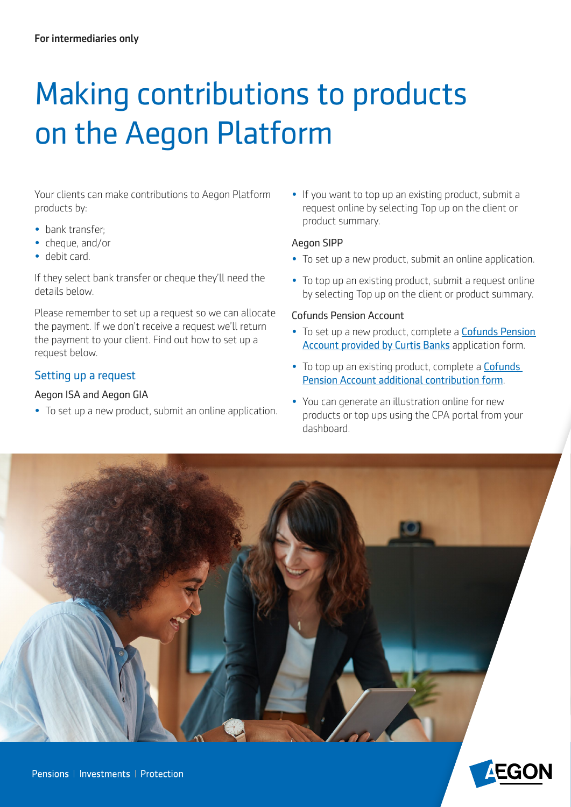# Making contributions to products on the Aegon Platform

Your clients can make contributions to Aegon Platform products by:

- bank transfer;
- cheque, and/or
- debit card.

If they select bank transfer or cheque they'll need the details below.

Please remember to set up a request so we can allocate the payment. If we don't receive a request we'll return the payment to your client. Find out how to set up a request below.

## Setting up a request

#### Aegon ISA and Aegon GIA

• To set up a new product, submit an online application.

• If you want to top up an existing product, submit a request online by selecting Top up on the client or product summary.

#### Aegon SIPP

- To set up a new product, submit an online application.
- To top up an existing product, submit a request online by selecting Top up on the client or product summary.

#### Cofunds Pension Account

- To set up a new product, complete a [Cofunds Pension](https://intermediary.aegon.co.uk/content/dam/common/documents/cpa-new-application.pdf)  [Account provided by Curtis Banks](https://intermediary.aegon.co.uk/content/dam/common/documents/cpa-new-application.pdf) application form.
- To top up an existing product, complete a **Cofunds** [Pension Account additional contribution form](https://intermediary.aegon.co.uk/content/dam/common/documents/cpa-additional-contribution-form.pdf).
- You can generate an illustration online for new products or top ups using the CPA portal from your dashboard.